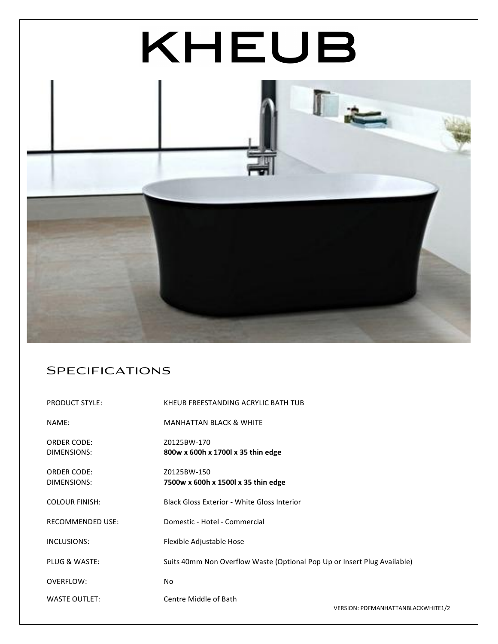

## **SPECIFICATIONS**

| <b>PRODUCT STYLE:</b>             | KHEUB FREESTANDING ACRYLIC BATH TUB                                      |                                       |
|-----------------------------------|--------------------------------------------------------------------------|---------------------------------------|
| NAME:                             | <b>MANHATTAN BLACK &amp; WHITE</b>                                       |                                       |
| <b>ORDER CODE:</b><br>DIMENSIONS: | Z0125BW-170<br>800w x 600h x 1700l x 35 thin edge                        |                                       |
| <b>ORDER CODE:</b><br>DIMENSIONS: | Z0125BW-150<br>7500w x 600h x 1500l x 35 thin edge                       |                                       |
| <b>COLOUR FINISH:</b>             | Black Gloss Exterior - White Gloss Interior                              |                                       |
| <b>RECOMMENDED USE:</b>           | Domestic - Hotel - Commercial                                            |                                       |
| INCLUSIONS:                       | Flexible Adjustable Hose                                                 |                                       |
| <b>PLUG &amp; WASTE:</b>          | Suits 40mm Non Overflow Waste (Optional Pop Up or Insert Plug Available) |                                       |
| OVERFLOW:                         | No.                                                                      |                                       |
| <b>WASTE OUTLET:</b>              | Centre Middle of Bath                                                    | VEDCION · DOEMANIJATTANIDI ACKWIJITE1 |

 $NN$ : <code>PDFMANHATTANBLACKWHITE1/2</code>